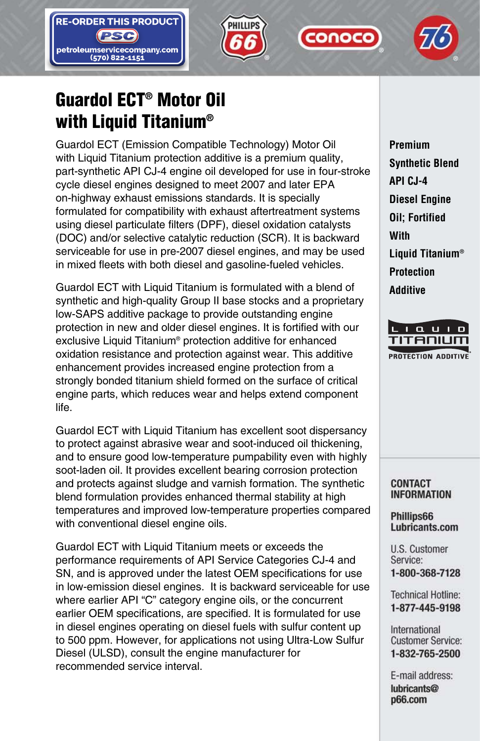





**CONOCO** 

# **Guardol ECT® Motor Oil with Liquid Titanium®**

Guardol ECT (Emission Compatible Technology) Motor Oil with Liquid Titanium protection additive is a premium quality, part-synthetic API CJ-4 engine oil developed for use in four-stroke cycle diesel engines designed to meet 2007 and later EPA on-highway exhaust emissions standards. It is specially formulated for compatibility with exhaust aftertreatment systems using diesel particulate filters (DPF), diesel oxidation catalysts (DOC) and/or selective catalytic reduction (SCR). It is backward serviceable for use in pre-2007 diesel engines, and may be used in mixed fleets with both diesel and gasoline-fueled vehicles.

Guardol ECT with Liquid Titanium is formulated with a blend of synthetic and high-quality Group II base stocks and a proprietary low-SAPS additive package to provide outstanding engine protection in new and older diesel engines. It is fortified with our exclusive Liquid Titanium® protection additive for enhanced oxidation resistance and protection against wear. This additive enhancement provides increased engine protection from a strongly bonded titanium shield formed on the surface of critical engine parts, which reduces wear and helps extend component life.

Guardol ECT with Liquid Titanium has excellent soot dispersancy to protect against abrasive wear and soot-induced oil thickening, and to ensure good low-temperature pumpability even with highly soot-laden oil. It provides excellent bearing corrosion protection and protects against sludge and varnish formation. The synthetic blend formulation provides enhanced thermal stability at high temperatures and improved low-temperature properties compared with conventional diesel engine oils.

Guardol ECT with Liquid Titanium meets or exceeds the performance requirements of API Service Categories CJ-4 and SN, and is approved under the latest OEM specifications for use in low-emission diesel engines. It is backward serviceable for use where earlier API "C" category engine oils, or the concurrent earlier OEM specifications, are specified. It is formulated for use in diesel engines operating on diesel fuels with sulfur content up to 500 ppm. However, for applications not using Ultra-Low Sulfur Diesel (ULSD), consult the engine manufacturer for recommended service interval.

**Premium Synthetic Blend API CJ-4 Diesel Engine Oil; Fortified With Liquid Titanium® Protection Additive**



#### **CONTACT INFORMATION**

#### Phillips66 Lubricants.com

U.S. Customer Service: 1-800-368-7128

**Technical Hotline:** 1-877-445-9198

International **Customer Service:** 1-832-765-2500

E-mail address: lubricants@ p66.com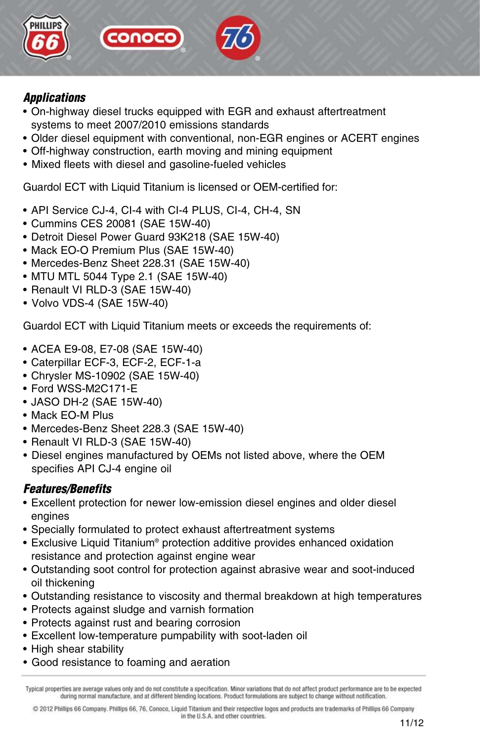

## *Applications*

- On-highway diesel trucks equipped with EGR and exhaust aftertreatment systems to meet 2007/2010 emissions standards
- Older diesel equipment with conventional, non-EGR engines or ACERT engines
- Off-highway construction, earth moving and mining equipment
- Mixed fleets with diesel and gasoline-fueled vehicles

conocc

Guardol ECT with Liquid Titanium is licensed or OEM-certified for:

- API Service CJ-4, CI-4 with CI-4 PLUS, CI-4, CH-4, SN
- Cummins CES 20081 (SAE 15W-40)
- Detroit Diesel Power Guard 93K218 (SAE 15W-40)
- Mack EO-O Premium Plus (SAE 15W-40)
- Mercedes-Benz Sheet 228.31 (SAE 15W-40)
- MTU MTL 5044 Type 2.1 (SAE 15W-40)
- Renault VI RLD-3 (SAE 15W-40)
- Volvo VDS-4 (SAE 15W-40)

Guardol ECT with Liquid Titanium meets or exceeds the requirements of:

- ACEA E9-08, E7-08 (SAE 15W-40)
- Caterpillar ECF-3, ECF-2, ECF-1-a
- Chrysler MS-10902 (SAE 15W-40)
- Ford WSS-M2C171-E
- JASO DH-2 (SAE 15W-40)
- Mack EO-M Plus
- Mercedes-Benz Sheet 228.3 (SAE 15W-40)
- Renault VI RLD-3 (SAE 15W-40)
- Diesel engines manufactured by OEMs not listed above, where the OEM specifies API CJ-4 engine oil

## *Features/Benefits*

- Excellent protection for newer low-emission diesel engines and older diesel engines
- Specially formulated to protect exhaust aftertreatment systems
- Exclusive Liquid Titanium® protection additive provides enhanced oxidation resistance and protection against engine wear
- Outstanding soot control for protection against abrasive wear and soot-induced oil thickening
- Outstanding resistance to viscosity and thermal breakdown at high temperatures
- Protects against sludge and varnish formation
- Protects against rust and bearing corrosion
- Excellent low-temperature pumpability with soot-laden oil
- High shear stability
- Good resistance to foaming and aeration

@ 2012 Phillips 66 Company. Phillips 66, 76, Conoco, Liquid Titanium and their respective logos and products are trademarks of Phillips 66 Company in the U.S.A. and other countries.

Typical properties are average values only and do not constitute a specification. Minor variations that do not affect product performance are to be expected during normal manufacture, and at different blending locations. Product formulations are subject to change without notification.